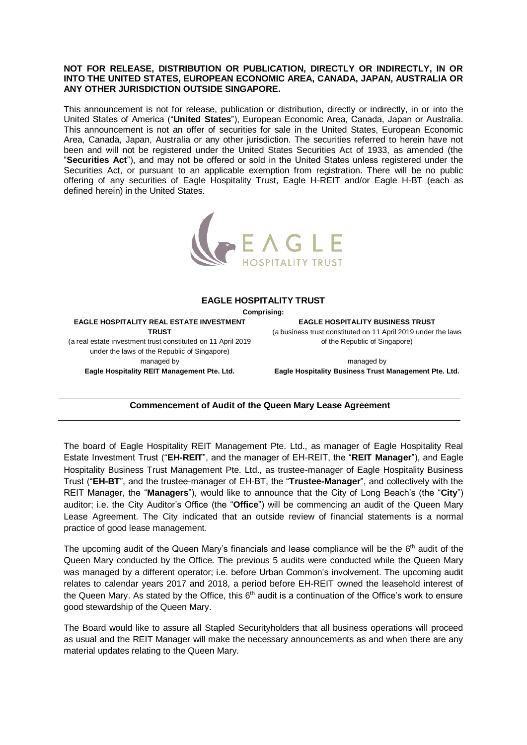## **NOT FOR RELEASE, DISTRIBUTION OR PUBLICATION, DIRECTLY OR INDIRECTLY, IN OR INTO THE UNITED STATES, EUROPEAN ECONOMIC AREA, CANADA, JAPAN, AUSTRALIA OR ANY OTHER JURISDICTION OUTSIDE SINGAPORE.**

This announcement is not for release, publication or distribution, directly or indirectly, in or into the United States of America ("**United States**"), European Economic Area, Canada, Japan or Australia. This announcement is not an offer of securities for sale in the United States, European Economic Area, Canada, Japan, Australia or any other jurisdiction. The securities referred to herein have not been and will not be registered under the United States Securities Act of 1933, as amended (the "**Securities Act**"), and may not be offered or sold in the United States unless registered under the Securities Act, or pursuant to an applicable exemption from registration. There will be no public offering of any securities of Eagle Hospitality Trust, Eagle H-REIT and/or Eagle H-BT (each as defined herein) in the United States.



## **EAGLE HOSPITALITY TRUST**

**Comprising:**

**EAGLE HOSPITALITY REAL ESTATE INVESTMENT TRUST** (a real estate investment trust constituted on 11 April 2019

under the laws of the Republic of Singapore) managed by **Eagle Hospitality REIT Management Pte. Ltd.** **EAGLE HOSPITALITY BUSINESS TRUST**

(a business trust constituted on 11 April 2019 under the laws of the Republic of Singapore)

managed by **Eagle Hospitality Business Trust Management Pte. Ltd.**

## **Commencement of Audit of the Queen Mary Lease Agreement**

The board of Eagle Hospitality REIT Management Pte. Ltd., as manager of Eagle Hospitality Real Estate Investment Trust ("**EH-REIT**", and the manager of EH-REIT, the "**REIT Manager**"), and Eagle Hospitality Business Trust Management Pte. Ltd., as trustee-manager of Eagle Hospitality Business Trust ("**EH-BT**", and the trustee-manager of EH-BT, the "**Trustee-Manager**", and collectively with the REIT Manager, the "**Managers**"), would like to announce that the City of Long Beach's (the "**City**") auditor; i.e. the City Auditor's Office (the "**Office**") will be commencing an audit of the Queen Mary Lease Agreement. The City indicated that an outside review of financial statements is a normal practice of good lease management.

The upcoming audit of the Queen Mary's financials and lease compliance will be the  $6<sup>th</sup>$  audit of the Queen Mary conducted by the Office. The previous 5 audits were conducted while the Queen Mary was managed by a different operator; i.e. before Urban Common's involvement. The upcoming audit relates to calendar years 2017 and 2018, a period before EH-REIT owned the leasehold interest of the Queen Mary. As stated by the Office, this  $6<sup>th</sup>$  audit is a continuation of the Office's work to ensure good stewardship of the Queen Mary.

The Board would like to assure all Stapled Securityholders that all business operations will proceed as usual and the REIT Manager will make the necessary announcements as and when there are any material updates relating to the Queen Mary.